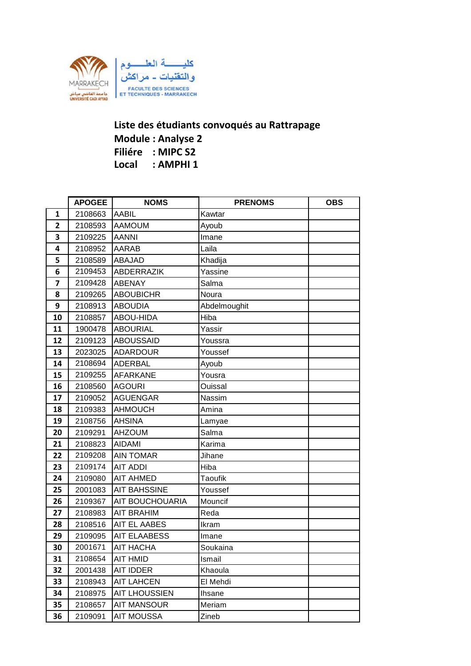

## **Liste des étudiants convoqués au Rattrapage Module : Analyse 2 Filiére : MIPC S2 Local : AMPHI 1**

|              | <b>APOGEE</b> | <b>NOMS</b>            | <b>PRENOMS</b> | <b>OBS</b> |
|--------------|---------------|------------------------|----------------|------------|
| $\mathbf{1}$ | 2108663       | <b>AABIL</b>           | Kawtar         |            |
| 2            | 2108593       | <b>AAMOUM</b>          | Ayoub          |            |
| 3            | 2109225       | <b>AANNI</b>           | Imane          |            |
| 4            | 2108952       | AARAB                  | Laila          |            |
| 5            | 2108589       | <b>ABAJAD</b>          | Khadija        |            |
| 6            | 2109453       | ABDERRAZIK             | Yassine        |            |
| 7            | 2109428       | <b>ABENAY</b>          | Salma          |            |
| 8            | 2109265       | <b>ABOUBICHR</b>       | Noura          |            |
| 9            | 2108913       | <b>ABOUDIA</b>         | Abdelmoughit   |            |
| 10           | 2108857       | ABOU-HIDA              | Hiba           |            |
| 11           | 1900478       | <b>ABOURIAL</b>        | Yassir         |            |
| 12           | 2109123       | <b>ABOUSSAID</b>       | Youssra        |            |
| 13           | 2023025       | <b>ADARDOUR</b>        | Youssef        |            |
| 14           | 2108694       | <b>ADERBAL</b>         | Ayoub          |            |
| 15           | 2109255       | <b>AFARKANE</b>        | Yousra         |            |
| 16           | 2108560       | <b>AGOURI</b>          | Ouissal        |            |
| 17           | 2109052       | <b>AGUENGAR</b>        | Nassim         |            |
| 18           | 2109383       | <b>AHMOUCH</b>         | Amina          |            |
| 19           | 2108756       | <b>AHSINA</b>          | Lamyae         |            |
| 20           | 2109291       | <b>AHZOUM</b>          | Salma          |            |
| 21           | 2108823       | AIDAMI                 | Karima         |            |
| 22           | 2109208       | <b>AIN TOMAR</b>       | Jihane         |            |
| 23           | 2109174       | <b>AIT ADDI</b>        | Hiba           |            |
| 24           | 2109080       | <b>AIT AHMED</b>       | <b>Taoufik</b> |            |
| 25           | 2001083       | <b>AIT BAHSSINE</b>    | Youssef        |            |
| 26           | 2109367       | <b>AIT BOUCHOUARIA</b> | Mouncif        |            |
| 27           | 2108983       | <b>AIT BRAHIM</b>      | Reda           |            |
| 28           | 2108516       | <b>AIT EL AABES</b>    | Ikram          |            |
| 29           | 2109095       | <b>AIT ELAABESS</b>    | Imane          |            |
| 30           | 2001671       | <b>AIT HACHA</b>       | Soukaina       |            |
| 31           | 2108654       | <b>AIT HMID</b>        | Ismail         |            |
| 32           | 2001438       | AIT IDDER              | Khaoula        |            |
| 33           | 2108943       | <b>AIT LAHCEN</b>      | El Mehdi       |            |
| 34           | 2108975       | <b>AIT LHOUSSIEN</b>   | <b>Ihsane</b>  |            |
| 35           | 2108657       | <b>AIT MANSOUR</b>     | Meriam         |            |
| 36           | 2109091       | <b>AIT MOUSSA</b>      | Zineb          |            |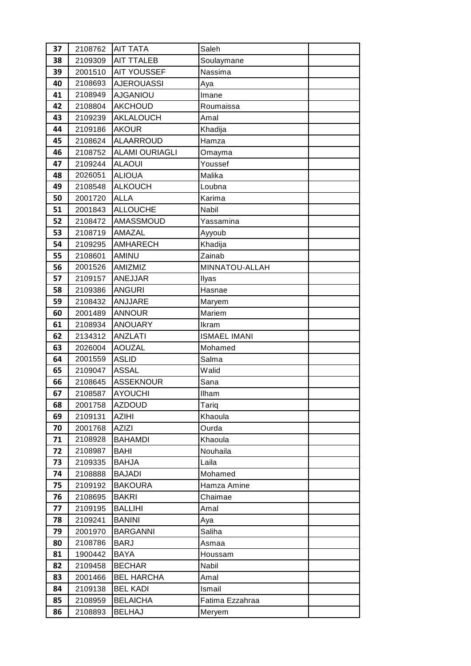| 37 | 2108762 | <b>AIT TATA</b>       | Saleh               |  |
|----|---------|-----------------------|---------------------|--|
| 38 | 2109309 | <b>AIT TTALEB</b>     | Soulaymane          |  |
| 39 | 2001510 | <b>AIT YOUSSEF</b>    | Nassima             |  |
| 40 | 2108693 | <b>AJEROUASSI</b>     | Aya                 |  |
| 41 | 2108949 | <b>AJGANIOU</b>       | Imane               |  |
| 42 | 2108804 | <b>AKCHOUD</b>        | Roumaissa           |  |
| 43 | 2109239 | AKLALOUCH             | Amal                |  |
| 44 | 2109186 | <b>AKOUR</b>          | Khadija             |  |
| 45 | 2108624 | <b>ALAARROUD</b>      | Hamza               |  |
| 46 | 2108752 | <b>ALAMI OURIAGLI</b> | Omayma              |  |
| 47 | 2109244 | <b>ALAOUI</b>         | Youssef             |  |
| 48 | 2026051 | <b>ALIOUA</b>         | Malika              |  |
| 49 | 2108548 | <b>ALKOUCH</b>        | Loubna              |  |
| 50 | 2001720 | <b>ALLA</b>           | Karima              |  |
| 51 | 2001843 | <b>ALLOUCHE</b>       | Nabil               |  |
| 52 | 2108472 | <b>AMASSMOUD</b>      | Yassamina           |  |
| 53 | 2108719 | AMAZAL                | Ayyoub              |  |
| 54 | 2109295 | <b>AMHARECH</b>       | Khadija             |  |
| 55 | 2108601 | AMINU                 | Zainab              |  |
| 56 | 2001526 | AMIZMIZ               | MINNATOU-ALLAH      |  |
| 57 | 2109157 | <b>ANEJJAR</b>        | Ilyas               |  |
| 58 | 2109386 | <b>ANGURI</b>         | Hasnae              |  |
| 59 | 2108432 | ANJJARE               | Maryem              |  |
| 60 | 2001489 | <b>ANNOUR</b>         | Mariem              |  |
| 61 | 2108934 | <b>ANOUARY</b>        | Ikram               |  |
| 62 | 2134312 | <b>ANZLATI</b>        | <b>ISMAEL IMANI</b> |  |
| 63 | 2026004 | <b>AOUZAL</b>         | Mohamed             |  |
| 64 | 2001559 | <b>ASLID</b>          | Salma               |  |
| 65 | 2109047 | <b>ASSAL</b>          | Walid               |  |
| 66 | 2108645 | <b>ASSEKNOUR</b>      | Sana                |  |
| 67 | 2108587 | <b>AYOUCHI</b>        | Ilham               |  |
| 68 | 2001758 | <b>AZDOUD</b>         | Tariq               |  |
| 69 | 2109131 | <b>AZIHI</b>          | Khaoula             |  |
| 70 | 2001768 | <b>AZIZI</b>          | Ourda               |  |
| 71 | 2108928 | <b>BAHAMDI</b>        | Khaoula             |  |
| 72 | 2108987 | <b>BAHI</b>           | Nouhaila            |  |
| 73 | 2109335 | <b>BAHJA</b>          | Laila               |  |
| 74 | 2108888 | <b>BAJADI</b>         | Mohamed             |  |
| 75 | 2109192 | <b>BAKOURA</b>        | Hamza Amine         |  |
| 76 | 2108695 | <b>BAKRI</b>          | Chaimae             |  |
| 77 | 2109195 | <b>BALLIHI</b>        | Amal                |  |
| 78 | 2109241 | <b>BANINI</b>         | Aya                 |  |
| 79 | 2001970 | <b>BARGANNI</b>       | Saliha              |  |
| 80 | 2108786 | <b>BARJ</b>           | Asmaa               |  |
| 81 | 1900442 | <b>BAYA</b>           | Houssam             |  |
| 82 | 2109458 | <b>BECHAR</b>         | Nabil               |  |
| 83 | 2001466 | <b>BEL HARCHA</b>     | Amal                |  |
| 84 | 2109138 | <b>BEL KADI</b>       | Ismail              |  |
| 85 | 2108959 | <b>BELAICHA</b>       | Fatima Ezzahraa     |  |
| 86 | 2108893 | <b>BELHAJ</b>         | Meryem              |  |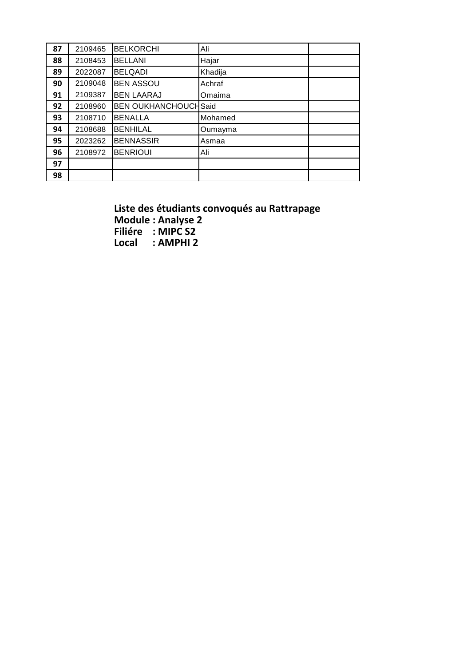| 87 | 2109465 | <b>BELKORCHI</b>            | Ali     |  |
|----|---------|-----------------------------|---------|--|
| 88 | 2108453 | <b>BELLANI</b>              | Hajar   |  |
| 89 | 2022087 | <b>BELQADI</b>              | Khadija |  |
| 90 | 2109048 | <b>BEN ASSOU</b>            | Achraf  |  |
| 91 | 2109387 | <b>BEN LAARAJ</b>           | Omaima  |  |
| 92 | 2108960 | <b>BEN OUKHANCHOUCHSaid</b> |         |  |
| 93 | 2108710 | <b>BENALLA</b>              | Mohamed |  |
| 94 | 2108688 | <b>BENHILAL</b>             | Oumayma |  |
| 95 | 2023262 | <b>BENNASSIR</b>            | Asmaa   |  |
| 96 | 2108972 | <b>BENRIOUI</b>             | Ali     |  |
| 97 |         |                             |         |  |
| 98 |         |                             |         |  |

**Liste des étudiants convoqués au Rattrapage Module : Analyse 2 Filiére : MIPC S2 Local : AMPHI 2**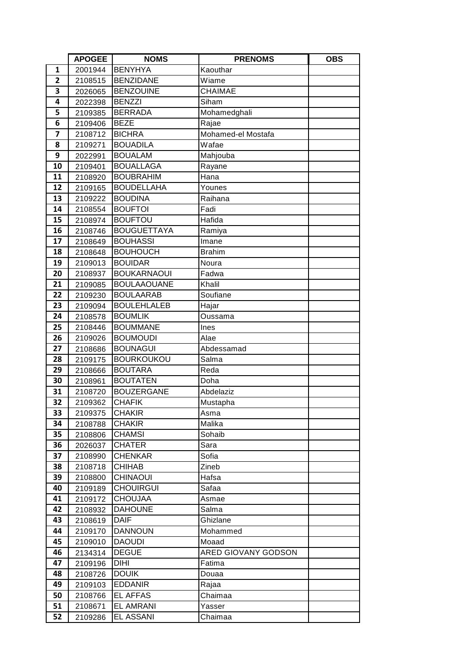|                | <b>APOGEE</b> | <b>NOMS</b>        | <b>PRENOMS</b>      | <b>OBS</b> |
|----------------|---------------|--------------------|---------------------|------------|
| 1              | 2001944       | <b>BENYHYA</b>     | Kaouthar            |            |
| $\overline{2}$ | 2108515       | <b>BENZIDANE</b>   | Wiame               |            |
| 3              | 2026065       | <b>BENZOUINE</b>   | <b>CHAIMAE</b>      |            |
| 4              | 2022398       | <b>BENZZI</b>      | Siham               |            |
| 5              | 2109385       | <b>BERRADA</b>     | Mohamedghali        |            |
| 6              | 2109406       | <b>BEZE</b>        | Rajae               |            |
| $\overline{7}$ | 2108712       | <b>BICHRA</b>      | Mohamed-el Mostafa  |            |
| 8              | 2109271       | <b>BOUADILA</b>    | Wafae               |            |
| 9              | 2022991       | <b>BOUALAM</b>     | Mahjouba            |            |
| 10             | 2109401       | <b>BOUALLAGA</b>   | Rayane              |            |
| 11             | 2108920       | <b>BOUBRAHIM</b>   | Hana                |            |
| 12             | 2109165       | <b>BOUDELLAHA</b>  | Younes              |            |
| 13             | 2109222       | <b>BOUDINA</b>     | Raihana             |            |
| 14             | 2108554       | <b>BOUFTOI</b>     | Fadi                |            |
| 15             | 2108974       | <b>BOUFTOU</b>     | Hafida              |            |
| 16             | 2108746       | <b>BOUGUETTAYA</b> | Ramiya              |            |
| 17             | 2108649       | <b>BOUHASSI</b>    | Imane               |            |
| 18             | 2108648       | <b>BOUHOUCH</b>    | <b>Brahim</b>       |            |
| 19             | 2109013       | <b>BOUIDAR</b>     | Noura               |            |
| 20             | 2108937       | <b>BOUKARNAOUI</b> | Fadwa               |            |
| 21             | 2109085       | <b>BOULAAOUANE</b> | Khalil              |            |
| 22             | 2109230       | <b>BOULAARAB</b>   | Soufiane            |            |
| 23             | 2109094       | <b>BOULEHLALEB</b> | Hajar               |            |
| 24             | 2108578       | <b>BOUMLIK</b>     | Oussama             |            |
| 25             | 2108446       | <b>BOUMMANE</b>    | Ines                |            |
| 26             | 2109026       | <b>BOUMOUDI</b>    | Alae                |            |
| 27             | 2108686       | <b>BOUNAGUI</b>    | Abdessamad          |            |
| 28             | 2109175       | <b>BOURKOUKOU</b>  | Salma               |            |
| 29             | 2108666       | <b>BOUTARA</b>     | Reda                |            |
| 30             | 2108961       | <b>BOUTATEN</b>    | Doha                |            |
| 31             | 2108720       | <b>BOUZERGANE</b>  | Abdelaziz           |            |
| 32             | 2109362       | <b>CHAFIK</b>      | Mustapha            |            |
| 33             | 2109375       | <b>CHAKIR</b>      | Asma                |            |
| 34             | 2108788       | <b>CHAKIR</b>      | Malika              |            |
| 35             | 2108806       | <b>CHAMSI</b>      | Sohaib              |            |
| 36             | 2026037       | <b>CHATER</b>      | Sara                |            |
| 37             | 2108990       | <b>CHENKAR</b>     | Sofia               |            |
| 38             | 2108718       | <b>CHIHAB</b>      | Zineb               |            |
| 39             | 2108800       | <b>CHINAOUI</b>    | Hafsa               |            |
| 40             | 2109189       | <b>CHOUIRGUI</b>   | Safaa               |            |
| 41             | 2109172       | <b>CHOUJAA</b>     | Asmae               |            |
| 42             | 2108932       | <b>DAHOUNE</b>     | Salma               |            |
| 43             | 2108619       | <b>DAIF</b>        | Ghizlane            |            |
| 44             | 2109170       | <b>DANNOUN</b>     | Mohammed            |            |
| 45             | 2109010       | <b>DAOUDI</b>      | Moaad               |            |
| 46             | 2134314       | <b>DEGUE</b>       | ARED GIOVANY GODSON |            |
| 47             | 2109196       | <b>DIHI</b>        | Fatima              |            |
| 48             | 2108726       | <b>DOUIK</b>       | Douaa               |            |
| 49             | 2109103       | <b>EDDANIR</b>     | Rajaa               |            |
| 50             | 2108766       | <b>EL AFFAS</b>    | Chaimaa             |            |
| 51             | 2108671       | <b>EL AMRANI</b>   | Yasser              |            |
| 52             | 2109286       | EL ASSANI          | Chaimaa             |            |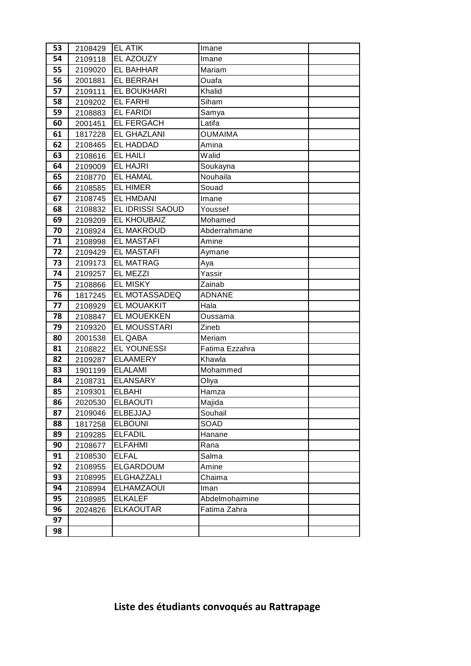| 53 | 2108429 | <b>EL ATIK</b>     | Imane          |  |
|----|---------|--------------------|----------------|--|
| 54 | 2109118 | EL AZOUZY          | Imane          |  |
| 55 | 2109020 | <b>EL BAHHAR</b>   | Mariam         |  |
| 56 | 2001881 | <b>EL BERRAH</b>   | Ouafa          |  |
| 57 | 2109111 | <b>EL BOUKHARI</b> | Khalid         |  |
| 58 | 2109202 | <b>EL FARHI</b>    | Siham          |  |
| 59 | 2108883 | <b>EL FARIDI</b>   | Samya          |  |
| 60 | 2001451 | <b>EL FERGACH</b>  | Latifa         |  |
| 61 | 1817228 | <b>EL GHAZLANI</b> | <b>OUMAIMA</b> |  |
| 62 | 2108465 | <b>EL HADDAD</b>   | Amina          |  |
| 63 | 2108616 | <b>EL HAILI</b>    | Walid          |  |
| 64 | 2109009 | <b>EL HAJRI</b>    | Soukayna       |  |
| 65 | 2108770 | <b>EL HAMAL</b>    | Nouhaila       |  |
| 66 | 2108585 | <b>EL HIMER</b>    | Souad          |  |
| 67 | 2108745 | <b>EL HMDANI</b>   | Imane          |  |
| 68 | 2108832 | EL IDRISSI SAOUD   | Youssef        |  |
| 69 | 2109209 | EL KHOUBAIZ        | Mohamed        |  |
| 70 | 2108924 | <b>EL MAKROUD</b>  | Abderrahmane   |  |
| 71 | 2108998 | <b>EL MASTAFI</b>  | Amine          |  |
| 72 | 2109429 | <b>EL MASTAFI</b>  | Aymane         |  |
| 73 | 2109173 | <b>EL MATRAG</b>   | Aya            |  |
| 74 | 2109257 | <b>EL MEZZI</b>    | Yassir         |  |
| 75 | 2108866 | <b>EL MISKY</b>    | Zainab         |  |
| 76 | 1817245 | EL MOTASSADEQ      | <b>ADNANE</b>  |  |
| 77 | 2108929 | EL MOUAKKIT        | Hala           |  |
| 78 | 2108847 | <b>EL MOUEKKEN</b> | Oussama        |  |
| 79 | 2109320 | EL MOUSSTARI       | Zineb          |  |
| 80 | 2001538 | <b>EL QABA</b>     | Meriam         |  |
| 81 | 2108822 | <b>EL YOUNESSI</b> | Fatima Ezzahra |  |
| 82 | 2109287 | <b>ELAAMERY</b>    | Khawla         |  |
| 83 | 1901199 | <b>ELALAMI</b>     | Mohammed       |  |
| 84 | 2108731 | <b>ELANSARY</b>    | Oliya          |  |
| 85 | 2109301 | <b>ELBAHI</b>      | Hamza          |  |
| 86 | 2020530 | <b>ELBAOUTI</b>    | Majida         |  |
| 87 | 2109046 | <b>ELBEJJAJ</b>    | Souhail        |  |
| 88 | 1817258 | <b>ELBOUNI</b>     | SOAD           |  |
| 89 | 2109285 | <b>ELFADIL</b>     | Hanane         |  |
| 90 | 2108677 | <b>ELFAHMI</b>     | Rana           |  |
| 91 | 2108530 | <b>ELFAL</b>       | Salma          |  |
| 92 | 2108955 | <b>ELGARDOUM</b>   | Amine          |  |
| 93 | 2108995 | <b>ELGHAZZALI</b>  | Chaima         |  |
| 94 | 2108994 | <b>ELHAMZAOUI</b>  | Iman           |  |
| 95 | 2108985 | <b>ELKALEF</b>     | Abdelmohaimine |  |
| 96 | 2024826 | <b>ELKAOUTAR</b>   | Fatima Zahra   |  |
| 97 |         |                    |                |  |
| 98 |         |                    |                |  |

## **Liste des étudiants convoqués au Rattrapage**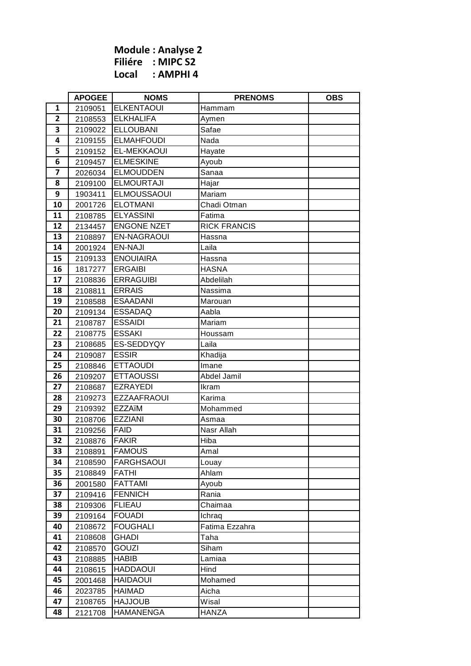**Module : Analyse 2 Filiére : MIPC S2 Local : AMPHI 4**

|                         | <b>APOGEE</b> | <b>NOMS</b>        | <b>PRENOMS</b>      | <b>OBS</b> |
|-------------------------|---------------|--------------------|---------------------|------------|
| 1                       | 2109051       | <b>ELKENTAOUI</b>  | Hammam              |            |
| $\overline{2}$          | 2108553       | <b>ELKHALIFA</b>   | Aymen               |            |
| 3                       | 2109022       | <b>ELLOUBANI</b>   | Safae               |            |
| 4                       | 2109155       | <b>ELMAHFOUDI</b>  | Nada                |            |
| 5                       | 2109152       | EL-MEKKAOUI        | Hayate              |            |
| 6                       | 2109457       | <b>ELMESKINE</b>   | Ayoub               |            |
| $\overline{\mathbf{z}}$ | 2026034       | <b>ELMOUDDEN</b>   | Sanaa               |            |
| 8                       | 2109100       | <b>ELMOURTAJI</b>  | Hajar               |            |
| 9                       | 1903411       | <b>ELMOUSSAOUI</b> | Mariam              |            |
| 10                      | 2001726       | <b>ELOTMANI</b>    | Chadi Otman         |            |
| 11                      | 2108785       | <b>ELYASSINI</b>   | Fatima              |            |
| 12                      | 2134457       | <b>ENGONE NZET</b> | <b>RICK FRANCIS</b> |            |
| 13                      | 2108897       | <b>EN-NAGRAOUI</b> | Hassna              |            |
| 14                      | 2001924       | <b>EN-NAJI</b>     | Laila               |            |
| 15                      | 2109133       | <b>ENOUIAIRA</b>   | Hassna              |            |
| 16                      | 1817277       | <b>ERGAIBI</b>     | <b>HASNA</b>        |            |
| 17                      | 2108836       | <b>ERRAGUIBI</b>   | Abdelilah           |            |
| 18                      | 2108811       | <b>ERRAIS</b>      | Nassima             |            |
| 19                      | 2108588       | <b>ESAADANI</b>    | Marouan             |            |
| 20                      | 2109134       | <b>ESSADAQ</b>     | Aabla               |            |
| 21                      | 2108787       | <b>ESSAIDI</b>     | Mariam              |            |
| 22                      | 2108775       | <b>ESSAKI</b>      | Houssam             |            |
| 23                      | 2108685       | ES-SEDDYQY         | Laila               |            |
| 24                      | 2109087       | <b>ESSIR</b>       | Khadija             |            |
| 25                      | 2108846       | <b>ETTAOUDI</b>    | Imane               |            |
| 26                      | 2109207       | <b>ETTAOUSSI</b>   | Abdel Jamil         |            |
| 27                      | 2108687       | <b>EZRAYEDI</b>    | Ikram               |            |
| 28                      | 2109273       | <b>EZZAAFRAOUI</b> | Karima              |            |
| 29                      | 2109392       | <b>EZZAïM</b>      | Mohammed            |            |
| 30                      | 2108706       | <b>EZZIANI</b>     | Asmaa               |            |
| 31                      | 2109256       | <b>FAID</b>        | Nasr Allah          |            |
| 32                      | 2108876       | <b>FAKIR</b>       | Hiba                |            |
| 33                      | 2108891       | <b>FAMOUS</b>      | Amal                |            |
| 34                      | 2108590       | <b>FARGHSAOUI</b>  | Louay               |            |
| 35                      | 2108849       | <b>FATHI</b>       | Ahlam               |            |
| 36                      | 2001580       | <b>FATTAMI</b>     | Ayoub               |            |
| 37                      | 2109416       | <b>FENNICH</b>     | Rania               |            |
| 38                      | 2109306       | <b>FLIEAU</b>      | Chaimaa             |            |
| 39                      | 2109164       | <b>FOUADI</b>      | Ichraq              |            |
| 40                      | 2108672       | <b>FOUGHALI</b>    | Fatima Ezzahra      |            |
| 41                      | 2108608       | <b>GHADI</b>       | Taha                |            |
| 42                      | 2108570       | <b>GOUZI</b>       | Siham               |            |
| 43                      | 2108885       | <b>HABIB</b>       | Lamiaa              |            |
| 44                      | 2108615       | <b>HADDAOUI</b>    | Hind                |            |
| 45                      | 2001468       | <b>HAIDAOUI</b>    | Mohamed             |            |
| 46                      | 2023785       | <b>HAIMAD</b>      | Aicha               |            |
| 47                      | 2108765       | <b>HAJJOUB</b>     | Wisal               |            |
| 48                      | 2121708       | <b>HAMANENGA</b>   | HANZA               |            |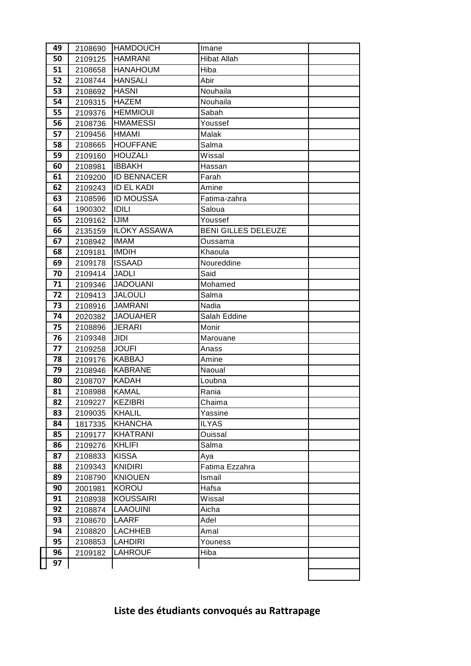| 49 | 2108690 | <b>HAMDOUCH</b>                  | Imane                      |  |
|----|---------|----------------------------------|----------------------------|--|
| 50 | 2109125 | <b>HAMRANI</b>                   | <b>Hibat Allah</b>         |  |
| 51 | 2108658 | <b>HANAHOUM</b>                  | Hiba                       |  |
| 52 | 2108744 | <b>HANSALI</b>                   | Abir                       |  |
| 53 | 2108692 | <b>HASNI</b>                     | Nouhaila                   |  |
| 54 | 2109315 | <b>HAZEM</b>                     | Nouhaila                   |  |
| 55 | 2109376 | <b>HEMMIOUI</b>                  | Sabah                      |  |
| 56 | 2108736 | <b>HMAMESSI</b>                  | Youssef                    |  |
| 57 | 2109456 | <b>HMAMI</b>                     | Malak                      |  |
| 58 | 2108665 | <b>HOUFFANE</b>                  | Salma                      |  |
| 59 | 2109160 | <b>HOUZALI</b>                   | Wissal                     |  |
| 60 | 2108981 | <b>IBBAKH</b>                    | Hassan                     |  |
| 61 | 2109200 | <b>ID BENNACER</b>               | Farah                      |  |
| 62 | 2109243 | <b>ID EL KADI</b>                | Amine                      |  |
| 63 | 2108596 | <b>ID MOUSSA</b>                 | Fatima-zahra               |  |
| 64 | 1900302 | IDILI                            | Saloua                     |  |
| 65 | 2109162 | <b>IJIM</b>                      | Youssef                    |  |
| 66 | 2135159 | <b>ILOKY ASSAWA</b>              | <b>BENI GILLES DELEUZE</b> |  |
| 67 | 2108942 | <b>IMAM</b>                      | Oussama                    |  |
| 68 | 2109181 | <b>IMDIH</b>                     | Khaoula                    |  |
| 69 | 2109178 | <b>ISSAAD</b>                    | Noureddine                 |  |
| 70 | 2109414 | <b>JADLI</b>                     | Said                       |  |
| 71 | 2109346 | <b>JADOUANI</b>                  | Mohamed                    |  |
| 72 | 2109413 | <b>JALOULI</b>                   | Salma                      |  |
| 73 | 2108916 | <b>JAMRANI</b>                   | Nadia                      |  |
| 74 | 2020382 | <b>JAOUAHER</b>                  | Salah Eddine               |  |
| 75 | 2108896 | <b>JERARI</b>                    | Monir                      |  |
| 76 | 2109348 | JIDI                             | Marouane                   |  |
| 77 | 2109258 | <b>JOUFI</b>                     | Anass                      |  |
| 78 | 2109176 | <b>KABBAJ</b>                    | Amine                      |  |
| 79 | 2108946 | <b>KABRANE</b>                   | Naoual                     |  |
| 80 | 2108707 | KADAH                            | Loubna                     |  |
| 81 | 2108988 | <b>KAMAL</b>                     | Rania                      |  |
| 82 | 2109227 | <b>KEZIBRI</b>                   | Chaima                     |  |
| 83 | 2109035 | <b>KHALIL</b>                    | Yassine                    |  |
| 84 | 1817335 | <b>KHANCHA</b>                   | <b>ILYAS</b>               |  |
| 85 | 2109177 | <b>KHATRANI</b>                  | Ouissal                    |  |
| 86 | 2109276 | <b>KHLIFI</b>                    | Salma                      |  |
| 87 | 2108833 | <b>KISSA</b>                     | Aya                        |  |
| 88 | 2109343 | <b>KNIDIRI</b>                   | Fatima Ezzahra             |  |
| 89 | 2108790 | <b>KNIOUEN</b>                   | Ismail                     |  |
| 90 | 2001981 | <b>KOROU</b>                     | Hafsa                      |  |
| 91 | 2108938 | <b>KOUSSAIRI</b>                 | Wissal                     |  |
| 92 | 2108874 | <b>LAAOUINI</b>                  | Aicha                      |  |
| 93 | 2108670 | <b>LAARF</b>                     | Adel                       |  |
| 94 | 2108820 | <b>LACHHEB</b>                   | Amal                       |  |
| 95 | 2108853 | <b>LAHDIRI</b><br><b>LAHROUF</b> | Youness                    |  |
| 96 | 2109182 |                                  | Hiba                       |  |
| 97 |         |                                  |                            |  |
|    |         |                                  |                            |  |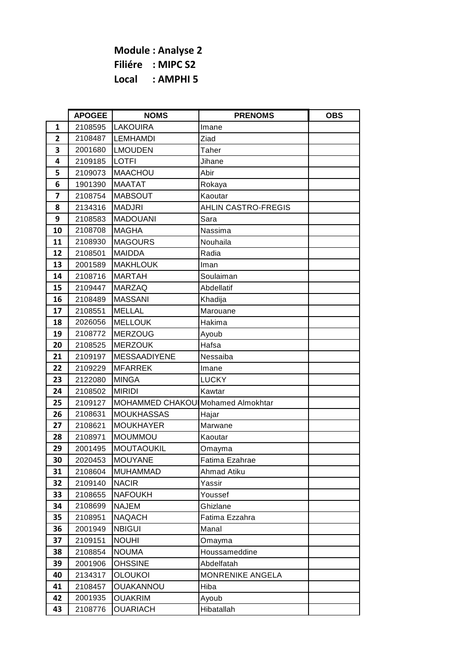**Module : Analyse 2 Filiére : MIPC S2 Local : AMPHI 5**

|                | <b>APOGEE</b> | <b>NOMS</b>                       | <b>PRENOMS</b>             | <b>OBS</b> |
|----------------|---------------|-----------------------------------|----------------------------|------------|
| $\mathbf{1}$   | 2108595       | <b>LAKOUIRA</b>                   | Imane                      |            |
| $\overline{2}$ | 2108487       | <b>LEMHAMDI</b>                   | Ziad                       |            |
| 3              | 2001680       | <b>LMOUDEN</b>                    | Taher                      |            |
| 4              | 2109185       | <b>LOTFI</b>                      | Jihane                     |            |
| 5              | 2109073       | <b>MAACHOU</b>                    | Abir                       |            |
| 6              | 1901390       | <b>MAATAT</b>                     | Rokaya                     |            |
| 7              | 2108754       | <b>MABSOUT</b>                    | Kaoutar                    |            |
| 8              | 2134316       | <b>MADJRI</b>                     | <b>AHLIN CASTRO-FREGIS</b> |            |
| 9              | 2108583       | <b>MADOUANI</b>                   | Sara                       |            |
| 10             | 2108708       | <b>MAGHA</b>                      | Nassima                    |            |
| 11             | 2108930       | <b>MAGOURS</b>                    | Nouhaila                   |            |
| 12             | 2108501       | <b>MAIDDA</b>                     | Radia                      |            |
| 13             | 2001589       | <b>MAKHLOUK</b>                   | Iman                       |            |
| 14             | 2108716       | <b>MARTAH</b>                     | Soulaiman                  |            |
| 15             | 2109447       | <b>MARZAQ</b>                     | Abdellatif                 |            |
| 16             | 2108489       | <b>MASSANI</b>                    | Khadija                    |            |
| 17             | 2108551       | <b>MELLAL</b>                     | Marouane                   |            |
| 18             | 2026056       | <b>MELLOUK</b>                    | Hakima                     |            |
| 19             | 2108772       | <b>MERZOUG</b>                    | Ayoub                      |            |
| 20             | 2108525       | <b>MERZOUK</b>                    | Hafsa                      |            |
| 21             | 2109197       | <b>MESSAADIYENE</b>               | Nessaiba                   |            |
| 22             | 2109229       | <b>MFARREK</b>                    | Imane                      |            |
| 23             | 2122080       | <b>MINGA</b>                      | <b>LUCKY</b>               |            |
| 24             | 2108502       | <b>MIRIDI</b>                     | Kawtar                     |            |
| 25             | 2109127       | MOHAMMED CHAKOU Mohamed Almokhtar |                            |            |
| 26             | 2108631       | <b>MOUKHASSAS</b>                 | Hajar                      |            |
| 27             | 2108621       | <b>MOUKHAYER</b>                  | Marwane                    |            |
| 28             | 2108971       | <b>MOUMMOU</b>                    | Kaoutar                    |            |
| 29             | 2001495       | <b>MOUTAOUKIL</b>                 | Omayma                     |            |
| 30             | 2020453       | <b>MOUYANE</b>                    | Fatima Ezahrae             |            |
| 31             | 2108604       | <b>MUHAMMAD</b>                   | Ahmad Atiku                |            |
| 32             | 2109140       | <b>NACIR</b>                      | Yassir                     |            |
| 33             | 2108655       | <b>NAFOUKH</b>                    | Youssef                    |            |
| 34             | 2108699       | <b>NAJEM</b>                      | Ghizlane                   |            |
| 35             | 2108951       | <b>NAQACH</b>                     | Fatima Ezzahra             |            |
| 36             | 2001949       | <b>NBIGUI</b>                     | Manal                      |            |
| 37             | 2109151       | <b>NOUHI</b>                      | Omayma                     |            |
| 38             | 2108854       | <b>NOUMA</b>                      | Houssameddine              |            |
| 39             | 2001906       | OHSSINE                           | Abdelfatah                 |            |
| 40             | 2134317       | <b>OLOUKOI</b>                    | <b>MONRENIKE ANGELA</b>    |            |
| 41             | 2108457       | OUAKANNOU                         | Hiba                       |            |
| 42             | 2001935       | <b>OUAKRIM</b>                    | Ayoub                      |            |
| 43             | 2108776       | <b>OUARIACH</b>                   | Hibatallah                 |            |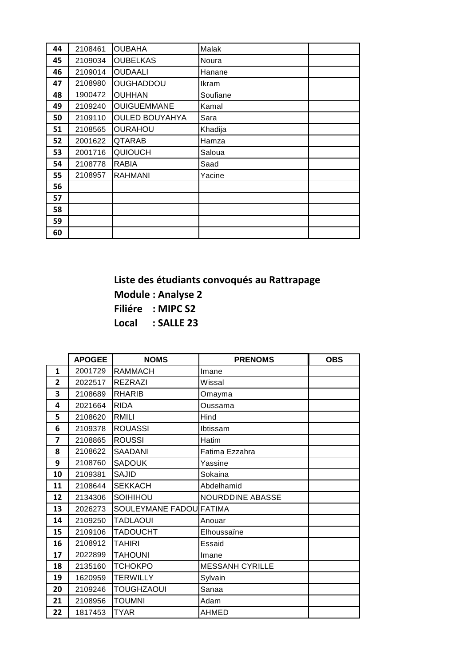| 44 | 2108461 | <b>OUBAHA</b>         | Malak    |  |
|----|---------|-----------------------|----------|--|
| 45 | 2109034 | <b>OUBELKAS</b>       | Noura    |  |
| 46 | 2109014 | <b>OUDAALI</b>        | Hanane   |  |
| 47 | 2108980 | <b>OUGHADDOU</b>      | Ikram    |  |
| 48 | 1900472 | <b>OUHHAN</b>         | Soufiane |  |
| 49 | 2109240 | <b>OUIGUEMMANE</b>    | Kamal    |  |
| 50 | 2109110 | <b>OULED BOUYAHYA</b> | Sara     |  |
| 51 | 2108565 | <b>OURAHOU</b>        | Khadija  |  |
| 52 | 2001622 | QTARAB                | Hamza    |  |
| 53 | 2001716 | <b>QUIOUCH</b>        | Saloua   |  |
| 54 | 2108778 | RABIA                 | Saad     |  |
| 55 | 2108957 | <b>RAHMANI</b>        | Yacine   |  |
| 56 |         |                       |          |  |
| 57 |         |                       |          |  |
| 58 |         |                       |          |  |
| 59 |         |                       |          |  |
| 60 |         |                       |          |  |

**Liste des étudiants convoqués au Rattrapage Module : Analyse 2 Filiére : MIPC S2 Local : SALLE 23**

|                | <b>APOGEE</b> | <b>NOMS</b>             | <b>PRENOMS</b>         | <b>OBS</b> |
|----------------|---------------|-------------------------|------------------------|------------|
| $\mathbf{1}$   | 2001729       | <b>RAMMACH</b>          | Imane                  |            |
| $\overline{2}$ | 2022517       | <b>REZRAZI</b>          | Wissal                 |            |
| 3              | 2108689       | <b>RHARIB</b>           | Omayma                 |            |
| 4              | 2021664       | <b>RIDA</b>             | Oussama                |            |
| 5              | 2108620       | <b>RMILI</b>            | Hind                   |            |
| 6              | 2109378       | <b>ROUASSI</b>          | Ibtissam               |            |
| 7              | 2108865       | <b>ROUSSI</b>           | Hatim                  |            |
| 8              | 2108622       | SAADANI                 | Fatima Ezzahra         |            |
| 9              | 2108760       | <b>SADOUK</b>           | Yassine                |            |
| 10             | 2109381       | <b>SAJID</b>            | Sokaina                |            |
| 11             | 2108644       | <b>SEKKACH</b>          | Abdelhamid             |            |
| 12             | 2134306       | SOIHIHOU                | NOURDDINE ABASSE       |            |
| 13             | 2026273       | SOULEYMANE FADOU FATIMA |                        |            |
| 14             | 2109250       | <b>TADLAOUI</b>         | Anouar                 |            |
| 15             | 2109106       | <b>TADOUCHT</b>         | Elhoussaïne            |            |
| 16             | 2108912       | <b>TAHIRI</b>           | Essaid                 |            |
| 17             | 2022899       | <b>TAHOUNI</b>          | Imane                  |            |
| 18             | 2135160       | <b>TCHOKPO</b>          | <b>MESSANH CYRILLE</b> |            |
| 19             | 1620959       | <b>TERWILLY</b>         | Sylvain                |            |
| 20             | 2109246       | <b>TOUGHZAOUI</b>       | Sanaa                  |            |
| 21             | 2108956       | <b>TOUMNI</b>           | Adam                   |            |
| 22             | 1817453       | <b>TYAR</b>             | <b>AHMED</b>           |            |